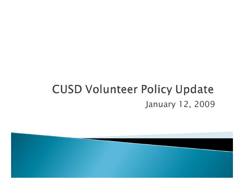### **CUSD Volunteer Policy Update** January 12, 2009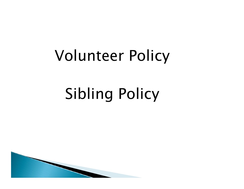# Volunteer Policy

# Sibling Policy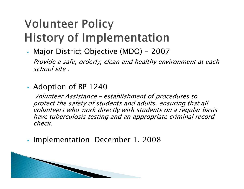## **Volunteer Policy History of Implementation**

- • Major District Objective (MDO) - 2007 Provide a safe, orderly, clean and healthy environment at each school site .
- Adoption of BP 1240

**RANGE COMMENT** 

Volunteer Assistance – establishment of procedures to protect the safety of students and adults, ensuring that all volunteers who work directly with students on a regular basis have tuberculosis testing and an appropriate criminal record check.

Г Implementation December 1, 2008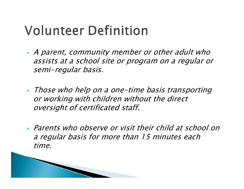# **Volunteer Definition**

- A parent, community member or other adult who assists at a school site or program on a regular or semi-regular basis.
- Those who help on a one-time basis transporting or working with children without the direct oversight of certificated staff.
- Parents who observe or visit their child at school on a regular basis for more than 15 minutes each time.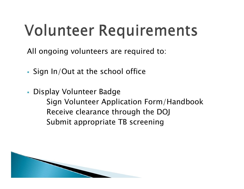# **Volunteer Requirements**

All ongoing volunteers are required to:

Sign In/Out at the school office

All Company of the Company of

 Display Volunteer Badge Sign Volunteer Application Form/Handbook Receive clearance through the DOJ Submit appropriate TB screening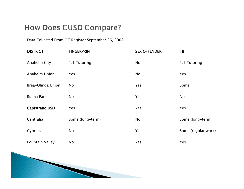### How Does CUSD Compare?

Data Collected From OC Register September 26, 2008

| <b>DISTRICT</b>        | <b>FINGERPRINT</b> | <b>SEX OFFENDER</b> | <b>TB</b>           |
|------------------------|--------------------|---------------------|---------------------|
| Anaheim City           | 1:1 Tutoring       | No                  | 1:1 Tutoring        |
| Anaheim Union          | <b>Yes</b>         | No                  | <b>Yes</b>          |
| Brea-Olinda Union      | No                 | Yes                 | Some                |
| <b>Buena Park</b>      | No                 | Yes                 | No                  |
| Capistrano USD         | Yes                | Yes                 | Yes                 |
| Centralia              | Some (long-term)   | No                  | Some (long-term)    |
| Cypress                | No                 | Yes                 | Some (regular work) |
| <b>Fountain Valley</b> | No                 | Yes                 | Yes                 |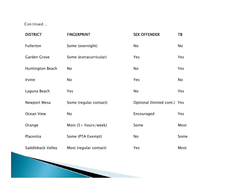Continued...

| <b>DISTRICT</b>     | <b>FINGERPRINT</b>                    | <b>SEX OFFENDER</b>          | TB        |
|---------------------|---------------------------------------|------------------------------|-----------|
| Fullerton           | Some (overnight)                      | No                           | No        |
| <b>Garden Grove</b> | Some (extracurricular)                | Yes                          | Yes       |
| Huntington Beach    | <b>No</b>                             | No                           | Yes       |
| Irvine              | <b>No</b>                             | Yes                          | <b>No</b> |
| Laguna Beach        | Yes                                   | No                           | Yes       |
| Newport Mesa        | Some (regular contact)                | Optional (limited cont.) Yes |           |
| Ocean View          | <b>No</b>                             | Encouraged                   | Yes       |
| Orange              | Most $(5 + \text{hours}/\text{week})$ | Some                         | Most      |
| Placentia           | Some (PTA Exempt)                     | No                           | Some      |
| Saddleback Valley   | Most (regular contact)                | Yes                          | Most      |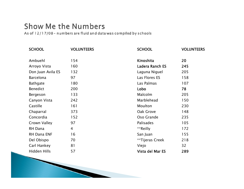### **Show Me the Numbers**

**Commence Commence Commence** 

As of 12/17/08 - numbers are fluid and data was compiled by schools

| <b>SCHOOL</b>     | <b>VOLUNTEERS</b> | <b>SCHOOL</b>          | <b>VOLUNTEERS</b> |
|-------------------|-------------------|------------------------|-------------------|
| Ambuehl           | 154               | Kinoshita              | 20                |
| Arroyo Vista      | 160               | <b>Ladera Ranch ES</b> | 245               |
| Don Juan Avila ES | 132               | Laguna Niguel          | 205               |
| <b>Barcelona</b>  | 97                | Las Flores ES          | 158               |
| <b>Bathgate</b>   | 180               | Las Palmas             | 107               |
| <b>Benedict</b>   | 200               | Lobo                   | 78                |
| Bergeson          | 133               | Malcolm                | 205               |
| Canyon Vista      | 242               | Marblehead             | 150               |
| Castille          | 161               | Moulton                | 230               |
| Chaparral         | 373               | Oak Grove              | 148               |
| Concordia         | 152               | Oso Grande             | 235               |
| Crown Valley      | 97                | Palisades              | 105               |
| RH Dana           | 4                 | **Reilly               | 172               |
| RH Dana ENF       | 16                | San Juan               | 155               |
| Del Obispo        | 70                | **Tijeras Creek        | 218               |
| Carl Hankey       | 81                | Viejo                  | 32                |
| Hidden Hills      | 57                | Vista del Mar ES       | 289               |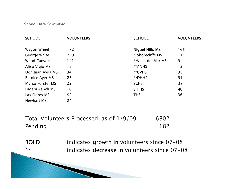School Data Continued...

| <b>SCHOOL</b>           | <b>VOLUNTEERS</b> | <b>SCHOOL</b>      | <b>VOLUNTEERS</b> |
|-------------------------|-------------------|--------------------|-------------------|
| Wagon Wheel             | 172               | Niguel Hills MS    | 165               |
| George White            | 229               | **Shorecliffs MS   | 11                |
| Wood Canyon             | 141               | **Vista del Mar MS | 9                 |
| Aliso Viejo MS          | 19                | **ANHS             | 12                |
| Don Juan Avila MS       | 34                | **CVHS             | 35                |
| Bernice Ayer MS         | 23                | **DHHS             | 91                |
| <b>Marco Forster MS</b> | 22                | <b>SCHS</b>        | 38                |
| Ladera Ranch MS         | 10                | <b>SJHHS</b>       | 40                |
| Las Flores MS           | 92                | <b>THS</b>         | 36                |
| Newhart MS              | 24                |                    |                   |

| Total Volunteers Processed as of 1/9/09 | 6802 |
|-----------------------------------------|------|
| Pending                                 | 182  |

BOLD indicates growth in volunteers since 07-08 \*\* indicates decrease in volunteers since 07-08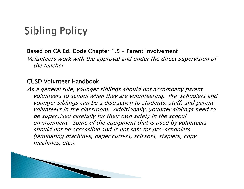### **Sibling Policy**

#### Based on CA Ed. Code Chapter 1.5 – Parent Involvement

Volunteers work with the approval and under the direct supervision of the teacher.

#### CUSD Volunteer Handbook

As a general rule, younger siblings should not accompany parent volunteers to school when they are volunteering. Pre-schoolers and younger siblings can be a distraction to students, staff, and parent volunteers in the classroom. Additionally, younger siblings need to be supervised carefully for their own safety in the school environment. Some of the equipment that is used by volunteers should not be accessible and is not safe for pre-schoolers (laminating machines, paper cutters, scissors, staplers, copy machines, etc.).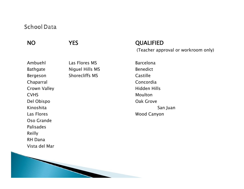#### **School Data**

### NO

Ambuehl Las Flores MSBathgate Miguel Hills MS Benedict Bergeson Shorecliffs MS Castille Chaparral Concordia Crown Valley **Hidden Hills** CVHSDel Obispo Oak Grove KinoshitaLas FloresOso GrandePalisadesReilly RH DanaVista del Mar

#### YES QUALIFIED

(Teacher approval or workroom only)

 Barcelona Moulton San Juan Wood Canyon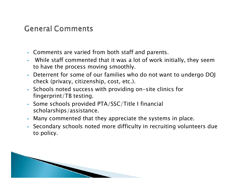### **General Comments**

**All Commences of the Commences of the Commences of the Commences of the Commences of the Commences of the Commences of the Commences of the Commences of the Commences of the Commences of the Commences of the Commences of** 

- Comments are varied from both staff and parents.
- г While staff commented that it was a lot of work initially, they seem to have the process moving smoothly.
- г Deterrent for some of our families who do not want to undergo DOJ check (privacy, citizenship, cost, etc.).
- Schools noted success with providing on-site clinics for fingerprint/TB testing.
- Some schools provided PTA/SSC/Title I financial scholarships/assistance.
- $\mathbf{r}$ Many commented that they appreciate the systems in place.
- Secondary schools noted more difficulty in recruiting volunteers due to policy.